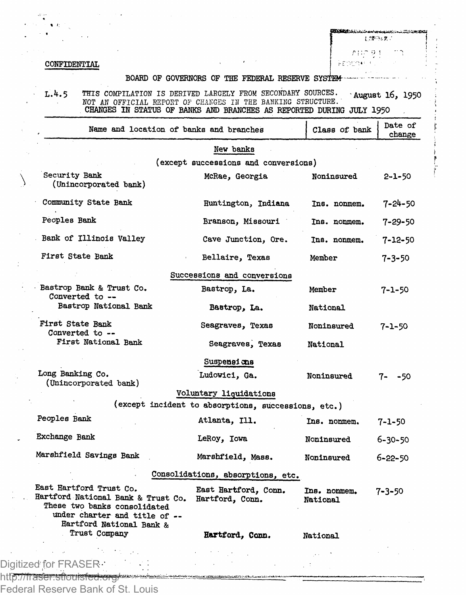## CONFIDENTIAL

t.rm=z nung t

FEDENKI F

## BOARD OF GOVERNORS OF THE FEDERAL RESERVE SYSTEM-

L.4.5 THIS COMPILATION IS DERIVED LARGELY FROM SECONDARY SOURCES. August 16, 1950 NOT AN OFFICIAL REPORT *OF* CHANGES IN THE BANKING STRUCTURE.' CHANGES IN STATUS OF BANKS AND BRANCHES AS REPORTED DURING JULY 1950

| Name and location of banks and branches                                                                                                                    |                                                     | Class of bank            | Date of<br>change |  |  |  |
|------------------------------------------------------------------------------------------------------------------------------------------------------------|-----------------------------------------------------|--------------------------|-------------------|--|--|--|
|                                                                                                                                                            | New banks                                           |                          |                   |  |  |  |
| (except successions and conversions)                                                                                                                       |                                                     |                          |                   |  |  |  |
| Security Bank<br>(Unincorporated bank)                                                                                                                     | McRae, Georgia                                      | Noninsured               | 2-1-50            |  |  |  |
| Community State Bank                                                                                                                                       | Huntington, Indiana                                 | Ins. nonmem.             | 7-24-50           |  |  |  |
| Peoples Bank                                                                                                                                               | Branson, Missouri                                   | Ins. nonmem.             | 7-29-50           |  |  |  |
| Bank of Illinois Valley                                                                                                                                    | Cave Junction, Ore.                                 | Ins. nonmem.             | 7-12-50           |  |  |  |
| First State Bank                                                                                                                                           | Bellaire, Texas                                     | Member                   | $7 - 3 - 50$      |  |  |  |
|                                                                                                                                                            | Successions and conversions                         |                          |                   |  |  |  |
| Bastrop Bank & Trust Co.<br>Converted to --                                                                                                                | Bastrop, La.                                        | Member                   | $7 - 1 - 50$      |  |  |  |
| Bastrop National Bank                                                                                                                                      | Bastrop, La.                                        | National                 |                   |  |  |  |
| First State Bank<br>Converted to --                                                                                                                        | Seagraves, Texas                                    | Noninsured               | $7 - 1 - 50$      |  |  |  |
| First National Bank                                                                                                                                        | Seagraves, Texas                                    | <b>National</b>          |                   |  |  |  |
|                                                                                                                                                            | Suspensions                                         |                          |                   |  |  |  |
| Long Banking Co.<br>(Unincorporated bank)                                                                                                                  | Ludowici, Ga.                                       | Noninsured               | 7- -50            |  |  |  |
|                                                                                                                                                            | Voluntary liquidations                              |                          |                   |  |  |  |
|                                                                                                                                                            | (except incident to absorptions, successions, etc.) |                          |                   |  |  |  |
| Peoples Bank                                                                                                                                               | Atlanta, Ill.                                       | Ins. nonmem.             | $7 - 1 - 50$      |  |  |  |
| Exchange Bank                                                                                                                                              | LeRoy, Iowa                                         | Noninsured               | $6 - 30 - 50$     |  |  |  |
| Marshfield Savings Bank                                                                                                                                    | Marshfield, Mass.                                   | Noninsured               | $6 - 22 - 50$     |  |  |  |
| Consolidations, absorptions, etc.                                                                                                                          |                                                     |                          |                   |  |  |  |
| East Hartford Trust Co.<br>Hartford National Bank & Trust Co.<br>These two banks consolidated<br>under charter and title of --<br>Hartford National Bank & | East Hartford. Conn.<br>Hartford, Conn.             | Ins. nonmem.<br>National | 7-3-50            |  |  |  |
| Trust Company                                                                                                                                              | Hartford, Conn.                                     | National                 |                   |  |  |  |
| $d$ , $f_{\alpha x}$ $\Gamma$ $\Gamma$ $\Lambda$ $\Gamma$ $\Gamma$ $\Gamma$ $\Gamma$                                                                       |                                                     |                          |                   |  |  |  |
|                                                                                                                                                            |                                                     |                          |                   |  |  |  |

Digitized for FRASER http://fraser.stlouisfed.org/

Federal Reserve Bank of St. Louis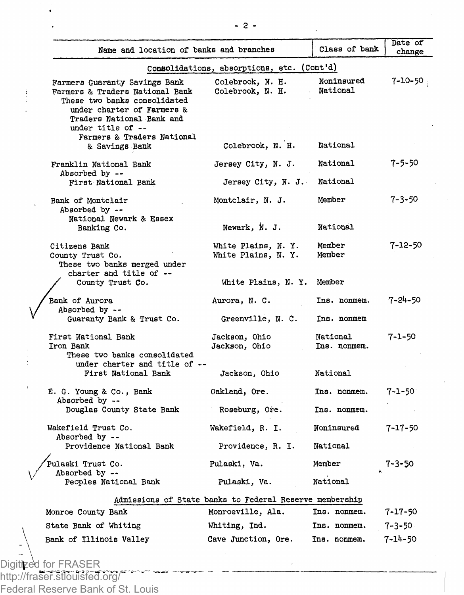| Name and location of banks and branches                                                                                                                     |                                                         | Class of bank            | Date of       |
|-------------------------------------------------------------------------------------------------------------------------------------------------------------|---------------------------------------------------------|--------------------------|---------------|
|                                                                                                                                                             | Consolidations, absorptions, etc. (Cont'd)              |                          | change        |
| Farmers Guaranty Savings Bank<br>Farmers & Traders National Bank<br>These two banks consolidated<br>under charter of Farmers &<br>Traders National Bank and | Colebrook, N. H.<br>Colebrook, N. H.                    | Noninsured<br>National   | 7-10-50 .     |
| under title of --<br>Farmers & Traders National<br>& Savings Bank                                                                                           | Colebrook, N. H.                                        | National                 |               |
| Franklin National Bank<br>Absorbed by --                                                                                                                    | Jersey City, N. J.                                      | National                 | 7-5-50        |
| First National Bank                                                                                                                                         | Jersey City, N. J.                                      | National                 |               |
| Bank of Montclair<br>Absorbed by --                                                                                                                         | Montclair, N. J.                                        | Member                   | 7-3-50        |
| National Newark & Essex<br>Banking Co.                                                                                                                      | Newark, N. J.                                           | National                 |               |
| Citizens Bank<br>County Trust Co.<br>These two banks merged under                                                                                           | White Plains, N. Y.<br>White Plains, N. Y.              | Member<br>Member         | 7-12-50       |
| charter and title of --<br>County Trust Co.                                                                                                                 | White Plains, N. Y. Member                              |                          |               |
| Bank of Aurora<br>Absorbed by --                                                                                                                            | Aurora, N. C.                                           | Ins. nonmem.             | $7 - 24 - 50$ |
| Guaranty Bank & Trust Co.                                                                                                                                   | Greenville, N. C.                                       | Ins. nonmem              |               |
| First National Bank<br>Iron Bank<br>These two banks consolidated                                                                                            | Jackson, Ohio<br>Jackson, Ohio                          | National<br>Ins. nonmem. | 7-1-50        |
| under charter and title of --<br>First National Bank                                                                                                        | Jackson, Ohio                                           | National                 |               |
| E. G. Young & Co., Bank<br>Absorbed by --                                                                                                                   | Oakland, Ore.                                           | Ins. nonmem.             | 7-1-50        |
| Douglas County State Bank                                                                                                                                   | Roseburg, Ore.                                          | Ins. nonmem.             |               |
| Wakefield Trust Co.<br>Absorbed by --                                                                                                                       | Wakefield, R. I.                                        | Noninsured               | $7 - 17 - 50$ |
| Providence National Bank                                                                                                                                    | Providence, R. I.                                       | National                 |               |
| Pulaski Trust Co.<br>Absorbed by --<br>Peoples National Bank                                                                                                | Pulaski, Va.<br>Pulaski, Va.                            | Member<br>National       | 7-3-50        |
|                                                                                                                                                             | Admissions of State banks to Federal Reserve membership |                          |               |
| Monroe County Bank                                                                                                                                          | Monroeville, Ala.                                       | Ins. nonmem.             | 7-17-50       |
| State Bank of Whiting                                                                                                                                       | Whiting, Ind.                                           | Ins. nonmem.             | $7 - 3 - 50$  |
|                                                                                                                                                             |                                                         |                          |               |

Federal Reserve Bank of St. Louis

 $\cdot$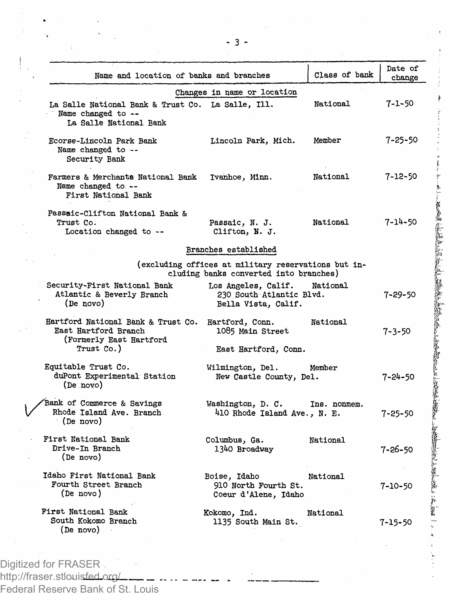| Name and location of banks and branches                                                             |                                                                                               | Class of bank | Date of<br>change |
|-----------------------------------------------------------------------------------------------------|-----------------------------------------------------------------------------------------------|---------------|-------------------|
| La Salle National Bank & Trust Co. La Salle, Ill.<br>Name changed to --<br>La Salle National Bank   | Changes in name or location                                                                   | National      | $7 - 1 - 50$      |
| Ecorse-Lincoln Park Bank<br>Name changed to --<br>Security Bank                                     | Lincoln Park, Mich.                                                                           | Member        | $7 - 25 - 50$     |
| Farmers & Merchants National Bank<br>Name changed to --<br>First National Bank                      | Ivanhoe, Minn.                                                                                | National      | $7 - 12 - 50$     |
| Passaic-Clifton National Bank &<br>Trust Co.<br>Location changed to --                              | Passaic, N. J.<br>Clifton, N. J.                                                              | National      | 7-14-50           |
|                                                                                                     | Branches established                                                                          |               |                   |
|                                                                                                     | (excluding offices at military reservations but in-<br>cluding banks converted into branches) |               |                   |
| Security-First National Bank<br>Atlantic & Beverly Branch<br>(De novo)                              | Los Angeles, Calif.<br>230 South Atlantic Blvd.<br>Bella Vista, Calif.                        | National      | 7-29-50           |
| Hartford National Bank & Trust Co.<br>East Hartford Branch<br>(Formerly East Hartford<br>Trust Co.) | Hartford, Conn.<br>1085 Main Street<br>East Hartford, Conn.                                   | National      | $7 - 3 - 50$      |
| Equitable Trust Co.<br>duPont Experimental Station<br>(De novo)                                     | Wilmington, Del.<br>New Castle County, Del.                                                   | Member        | $7 - 24 - 50$     |
| Bank of Commerce & Savings<br>Rhode Island Ave. Branch<br>(De novo)                                 | Washington, D. C. Ins. nonmem.<br>410 Rhode Island Ave., N. E.                                |               | $7 - 25 - 50$     |
| First National Bank<br>Drive-In Branch<br>(De novo)                                                 | Columbus, Ga.<br>1340 Broadway                                                                | National      | 7-26-50           |
| Idaho First National Rank<br>Fourth Street Branch<br>(De novo)                                      | Boise, Idaho<br>910 North Fourth St.<br>Coeur d'Alene, Idaho                                  | National      | 7-10-50           |
| First National Bank<br>South Kokomo Branch<br>(De novo)                                             | Kokomo, Ind.<br>1135 South Main St.                                                           | National      | 7-15-50           |
|                                                                                                     |                                                                                               |               |                   |

この人をものに、このことは、このことは、このことは、このことは、このことは、このことは、このことは、このことは、このことは、このことは、このことは、このことは、このことは、このことは、このことは、この

Digitized for FRASER http://fraser.stlouisfed.org Federal Reserve Bank of St. Louis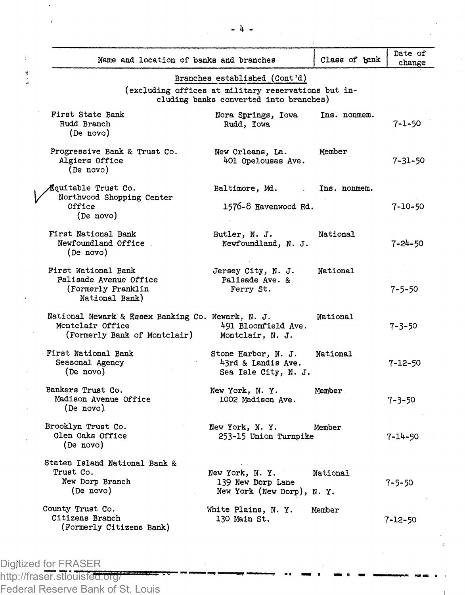| Name and location of banks and branches                                                               |                                                                   | Class of bank | Date of<br>change |  |
|-------------------------------------------------------------------------------------------------------|-------------------------------------------------------------------|---------------|-------------------|--|
|                                                                                                       | Branches established (Cont'd)                                     |               |                   |  |
| (excluding offices at military reservations but in-<br>cluding banks converted into branches)         |                                                                   |               |                   |  |
| First State Bank<br>Rudd Branch<br>(De novo)                                                          | Nora Springs, Iowa<br>Rudd, Iowa                                  | Ins. nonmem.  | $7 - 1 - 50$      |  |
| Progressive Bank & Trust Co.<br>Algiers Office<br>(De novo)                                           | New Orleans, La.<br>401 Opelousas Ave.                            | Member        | 7-31-50           |  |
| Équitable Trust Co.                                                                                   | Baltimore, Md.                                                    | Ins. nonmem.  |                   |  |
| Northwood Shopping Center<br>Office<br>(De novo)                                                      | 1576-8 Havenwood Rd.                                              |               | 7-10-50           |  |
| First National Bank<br>Newfoundland Office<br>(De novo)                                               | Butler, N. J.<br>Newfoundland, N. J.                              | National      | 7-24-50           |  |
| First National Bank<br>Palisade Avenue Office<br>(Formerly Franklin<br>National Bank)                 | Jersey City, N. J.<br>Palisade Ave. &<br>Ferry St.                | National      | $7 - 5 - 50$      |  |
| National Newark & Essex Banking Co. Newark, N. J.<br>Montclair Office<br>(Formerly Bank of Montclair) | 491 Bloomfield Ave.<br>Montclair, N. J.                           | National      | 7-3-50            |  |
| First National Bank<br>Seasonal Agency<br>(De novo)                                                   | Stone Harbor, N. J.<br>43rd & Landis Ave.<br>Sea Isle City, N. J. | National      | 7-12-50           |  |
| Bankers Trust Co.<br>Madison Avenue Office<br>(De novo)                                               | New York, N. Y.<br>1002 Madison Ave.                              | Member.       | 7-3-50            |  |
| Brooklyn Trust Co.<br>Glen Oaks Office<br>(De novo)                                                   | New York, N.Y.<br>253-15 Union Turnpike                           | Member        | 7-14-50           |  |
| Staten Island National Bank &<br>Trust Co.<br>New Dorp Branch<br>(De novo)                            | New York, N.Y.<br>139 New Dorp Lane<br>New York (New Dorp), N.Y.  | National      | $7 - 5 - 50$      |  |
| County Trust Co.<br>Citizens Branch<br>(Formerly Citizens Bank)                                       | White Plains, N. Y.<br>130 Main St.                               | Member        | 7-12-50           |  |

Digitized for FRASER http://fraser.stlouisfed.org/ Federal Reserve Bank of St. Louis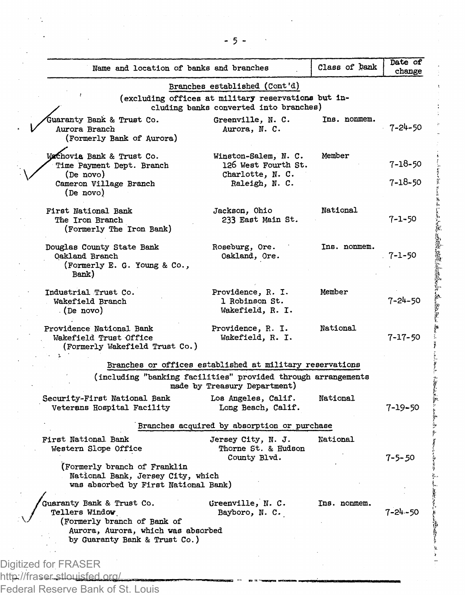| Name and location of banks and branches                                                                                                           |                                                                                               | Class of bank | Date of<br>change |
|---------------------------------------------------------------------------------------------------------------------------------------------------|-----------------------------------------------------------------------------------------------|---------------|-------------------|
|                                                                                                                                                   | Branches established (Cont'd)                                                                 |               |                   |
|                                                                                                                                                   | (excluding offices at military reservations but in-<br>cluding banks converted into branches) |               |                   |
| Juaranty Bank & Trust Co.<br>Aurora Branch<br>(Formerly Bank of Aurora)                                                                           | Greenville, N. C.<br>Aurora, N. C.                                                            | Ins. nonmem.  | 7-24-50           |
| WaChovia Bank & Trust Co.<br>Time Payment Dept. Branch<br>(De novo)                                                                               | Winston-Salem, N. C.<br>126 West Fourth St.<br>Charlotte, N. C.                               | Member        | 7-18-50           |
| Cameron Village Branch<br>(De novo)                                                                                                               | Raleigh, N. C.                                                                                |               | 7-18-50           |
| First National Bank<br>The Iron Branch<br>(Formerly The Iron Bank)                                                                                | Jackson, Ohio<br>233 East Main St.                                                            | National      | 7-1-50            |
| Douglas County State Bank<br>Oakland Branch<br>(Formerly E. G. Young & Co.,<br>Bank)                                                              | Roseburg, Ore.<br>Oakland, Ore.                                                               | Ins. nonmem.  | 7-1-50            |
| Industrial Trust Co.<br>Wakefield Branch<br>(De novo)                                                                                             | Providence, R. I.<br>1 Robinson St.<br>Wakefield, R. I.                                       | Member        | 7-24-50           |
| Providence National Bank<br>Wakefield Trust Office<br>(Formerly Wakefield Trust Co.)                                                              | Providence, R. I.<br>Wakefield, R. I.                                                         | National      | 7-17-50           |
|                                                                                                                                                   | Branches or offices established at military reservations                                      |               |                   |
|                                                                                                                                                   | (including "banking facilities" provided through arrangements<br>made by Treasury Department) |               |                   |
| Security-First National Bank<br>Veterans Hospital Facility                                                                                        | Los Angeles, Calif.<br>Long Beach, Calif.                                                     | National      | 7-19-50           |
|                                                                                                                                                   | Branches acquired by absorption or purchase                                                   |               |                   |
| First National Bank<br>Western Slope Office                                                                                                       | Jersey City, N. J.<br>Thorne St. & Hudson<br>County Blvd.                                     | National      | 7-5-50            |
| (Formerly branch of Franklin<br>National Bank, Jersey City, which<br>was absorbed by First National Bank)                                         |                                                                                               |               |                   |
| Guaranty Bank & Trust Co.<br>Tellers Window<br>(Formerly branch of Bank of<br>Aurora, Aurora, which was absorbed<br>by Guaranty Bank & Trust Co.) | Greenville, N. C.<br>Bayboro, N. C.                                                           | Ins. nonmem.  | $7 - 24 - 50$     |
|                                                                                                                                                   |                                                                                               |               |                   |
| Digitized for FRASER                                                                                                                              |                                                                                               |               |                   |
| http://fraser-stlouisfed.org/                                                                                                                     |                                                                                               |               |                   |

ł,

 $\ddot{\phantom{0}}$ 

l,

l,

 $\frac{1}{2}$ 

 $\frac{1}{2}$ 

ことによると思いますから、その中に、その時に、その時に、その時に、その時に、その時に、その時に、「その時に、「その時に、その時に、その後に、その後に、その時に、その時に、その後に、その後に、その後に、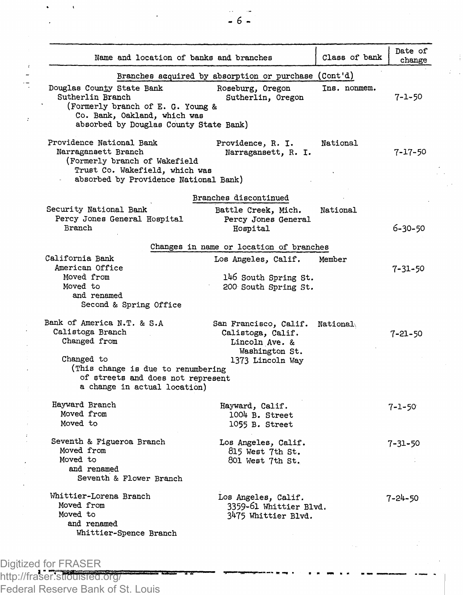| Name and location of banks and branches                                                                                                                      |                                                                                | Class of bank | Date of<br>change |
|--------------------------------------------------------------------------------------------------------------------------------------------------------------|--------------------------------------------------------------------------------|---------------|-------------------|
|                                                                                                                                                              | Branches acquired by absorption or purchase (Cont'd)                           |               |                   |
| Douglas County State Bank<br>Sutherlin Branch<br>(Formerly branch of E. G. Young &<br>Co. Bank, Oakland, which was<br>absorbed by Douglas County State Bank) | Roseburg, Oregon<br>Sutherlin, Oregon                                          | Ins. nonmem.  | 7-1-50            |
| Providence National Bank<br>Narragansett Branch<br>(Formerly branch of Wakefield<br>Trust Co. Wakefield, which was<br>absorbed by Providence National Bank)  | Providence, R. I.<br>Narragansett, R. I.                                       | National      | 7-17-50           |
|                                                                                                                                                              | Branches discontinued                                                          |               |                   |
| Security National Bank<br>Percy Jones General Hospital<br>Branch                                                                                             | Battle Creek, Mich.<br>Percy Jones General<br>Hospital                         | National      | 6-30-50           |
|                                                                                                                                                              | Changes in name or location of branches                                        |               |                   |
| California Bank<br>American Office<br>Moved from<br>Moved to                                                                                                 | Los Angeles, Calif.<br>146 South Spring St.<br>200 South Spring St.            | Member        | 7-31-50           |
| and renamed<br>Second & Spring Office                                                                                                                        |                                                                                |               |                   |
| Bank of America N.T. & S.A<br>Calistoga Branch<br>Changed from                                                                                               | San Francisco, Calif.<br>Calistoga, Calif.<br>Lincoln Ave. &<br>Washington St. | National      | $7 - 21 - 50$     |
| Changed to<br>(This change is due to renumbering<br>of streets and does not represent<br>a change in actual location)                                        | 1373 Lincoln Way                                                               |               |                   |
| Hayward Branch<br>Moved from<br>Moved to                                                                                                                     | Hayward, Calif.<br>1004 B. Street<br>1055 B. Street                            |               | $7 - 1 - 50$      |
| Seventh & Figueroa Branch<br>Moved from<br>Moved to<br>and renamed<br>Seventh & Flower Branch                                                                | Los Angeles, Calif.<br>815 West 7th St.<br>801 West 7th St.                    |               | $7 - 31 - 50$     |
| Whittier-Lorena Branch<br>Moved from<br>Moved to<br>and renamed                                                                                              | Los Angeles, Calif.<br>3359-61 Whittier Blvd.<br>3475 Whittier Blvd.           |               | 7-24-50           |
| Whittier-Spence Branch                                                                                                                                       |                                                                                |               |                   |

Digitized for FRASER http://fraser.stlouisfed.org/ Federal Reserve Bank of St. Louis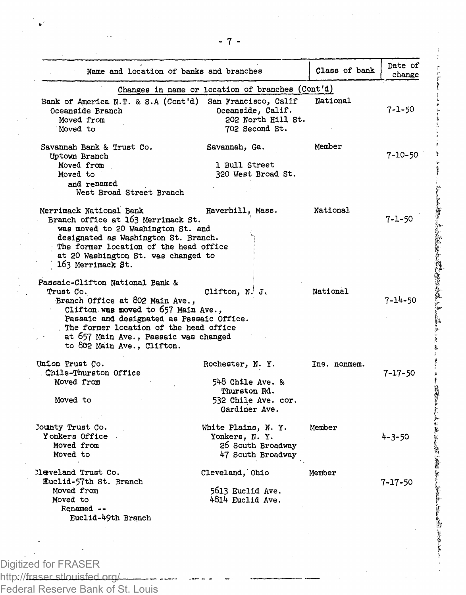| Name and location of banks and branches                                                                                                                                                                                                                                              |                                                                                             | Class of bank | Date of<br>change |
|--------------------------------------------------------------------------------------------------------------------------------------------------------------------------------------------------------------------------------------------------------------------------------------|---------------------------------------------------------------------------------------------|---------------|-------------------|
|                                                                                                                                                                                                                                                                                      | Changes in name or location of branches (Cont'd)                                            |               |                   |
| Bank of America N.T. & S.A (Cont'd)<br>Oceanside Branch<br>Moved from<br>Moved to                                                                                                                                                                                                    | San Francisco, Calif<br>Oceanside, Calif.<br>202 North Hill St.<br>702 Second St.           | National      | 7-1-50            |
| Savannah Bank & Trust Co.<br>Uptown Branch<br>Moved from<br>Moved to<br>and renamed<br>West Broad Street Branch                                                                                                                                                                      | Savannah, Ga.<br>1 Bull Street<br>320 West Broad St.                                        | Member        | 7-10-50           |
| Merrimack National Bank<br>Branch office at 163 Merrimack St.<br>was moved to 20 Washington St. and<br>designated as Washington St. Branch.<br>The former location of the head office<br>at 20 Washington St. was changed to<br>163 Merrimack St.                                    | Haverhill, Mass.                                                                            | National      | 7-1-50            |
| Passaic-Clifton National Bank &<br>Trust Co.<br>Branch Office at 802 Main Ave.,<br>Clifton was moved to 657 Main Ave.,<br>Passaic and designated as Passaic Office.<br>The former location of the head office<br>at 657 Main Ave., Passaic was changed<br>to 802 Main Ave., Clifton. | Clifton, N. J.                                                                              | National      | 7-14-50           |
| Union Trust Co.<br>Chile-Thurston Office<br>Moved from<br>Moved to                                                                                                                                                                                                                   | Rochester, N.Y.<br>548 Chile Ave. &<br>Thurston Rd.<br>532 Chile Ave. cor.<br>Gardiner Ave. | Ins. nonmem.  | $7 - 17 - 50$     |
| County Trust Co.<br>Yonkers Office<br>Moved from<br>Moved to                                                                                                                                                                                                                         | White Plains, N. Y.<br>Yonkers, N. Y.<br>26 South Broadway<br>47 South Broadway             | Member        | $4 - 3 - 50$      |
| Meveland Trust Co.<br>Euclid-57th St. Branch<br>Moved from<br>Moved to<br>Renamed --<br>Euclid-49th Branch                                                                                                                                                                           | Cleveland, Ohio<br>5613 Euclid Ave.<br>4814 Euclid Ave.                                     | Member        | $7 - 17 - 50$     |
|                                                                                                                                                                                                                                                                                      |                                                                                             |               |                   |

 $\sum_{i=1}^{n}$ 

隆<br>基

(開催など) あるのが 不可能に あいまん

おくれ あいとうか あいとう

Digitized for FRASER

http://fraser.stlouisfed.org/

Federal Reserve Bank of St. Louis